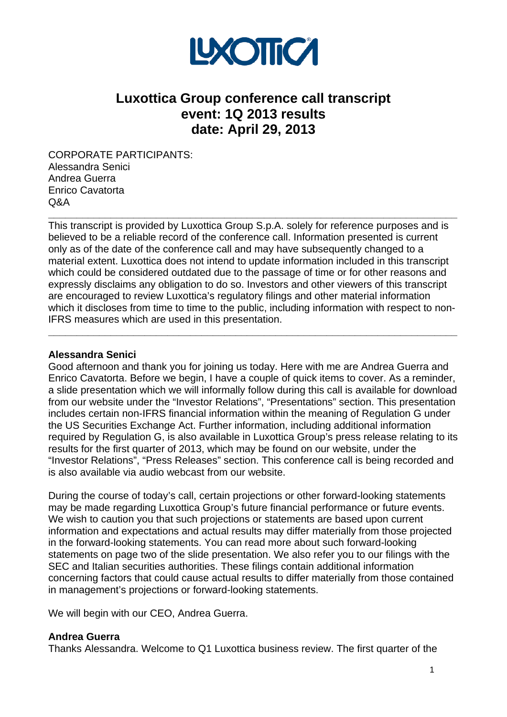

# **Luxottica Group conference call transcript event: 1Q 2013 results date: April 29, 2013**

CORPORATE PARTICIPANTS: Alessandra Senici Andrea Guerra Enrico Cavatorta Q&A

This transcript is provided by Luxottica Group S.p.A. solely for reference purposes and is believed to be a reliable record of the conference call. Information presented is current only as of the date of the conference call and may have subsequently changed to a material extent. Luxottica does not intend to update information included in this transcript which could be considered outdated due to the passage of time or for other reasons and expressly disclaims any obligation to do so. Investors and other viewers of this transcript are encouraged to review Luxottica's regulatory filings and other material information which it discloses from time to time to the public, including information with respect to non-IFRS measures which are used in this presentation.

**\_\_\_\_\_\_\_\_\_\_\_\_\_\_\_\_\_\_\_\_\_\_\_\_\_\_\_\_\_\_\_\_\_\_\_\_\_\_\_\_\_\_\_\_\_\_\_\_\_\_\_\_\_\_\_\_\_\_\_\_\_\_\_\_\_\_\_\_\_\_\_\_** 

**\_\_\_\_\_\_\_\_\_\_\_\_\_\_\_\_\_\_\_\_\_\_\_\_\_\_\_\_\_\_\_\_\_\_\_\_\_\_\_\_\_\_\_\_\_\_\_\_\_\_\_\_\_\_\_\_\_\_\_\_\_\_\_\_\_\_\_\_\_\_\_\_** 

#### **Alessandra Senici**

Good afternoon and thank you for joining us today. Here with me are Andrea Guerra and Enrico Cavatorta. Before we begin, I have a couple of quick items to cover. As a reminder, a slide presentation which we will informally follow during this call is available for download from our website under the "Investor Relations", "Presentations" section. This presentation includes certain non-IFRS financial information within the meaning of Regulation G under the US Securities Exchange Act. Further information, including additional information required by Regulation G, is also available in Luxottica Group's press release relating to its results for the first quarter of 2013, which may be found on our website, under the "Investor Relations", "Press Releases" section. This conference call is being recorded and is also available via audio webcast from our website.

During the course of today's call, certain projections or other forward-looking statements may be made regarding Luxottica Group's future financial performance or future events. We wish to caution you that such projections or statements are based upon current information and expectations and actual results may differ materially from those projected in the forward-looking statements. You can read more about such forward-looking statements on page two of the slide presentation. We also refer you to our filings with the SEC and Italian securities authorities. These filings contain additional information concerning factors that could cause actual results to differ materially from those contained in management's projections or forward-looking statements.

We will begin with our CEO, Andrea Guerra.

#### **Andrea Guerra**

Thanks Alessandra. Welcome to Q1 Luxottica business review. The first quarter of the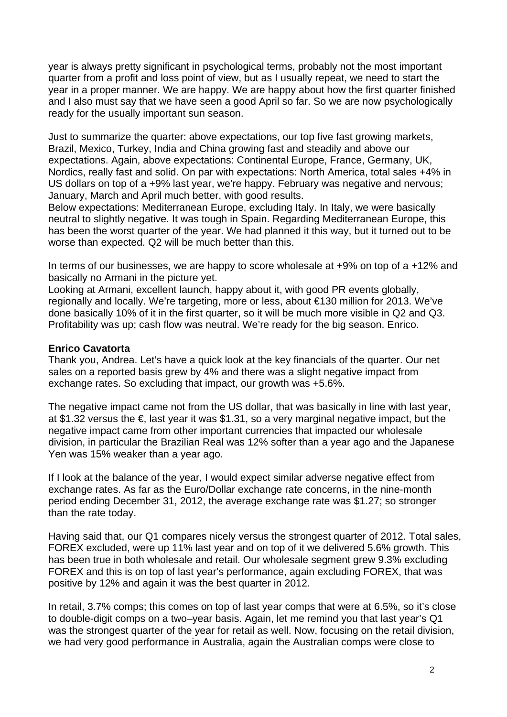year is always pretty significant in psychological terms, probably not the most important quarter from a profit and loss point of view, but as I usually repeat, we need to start the year in a proper manner. We are happy. We are happy about how the first quarter finished and I also must say that we have seen a good April so far. So we are now psychologically ready for the usually important sun season.

Just to summarize the quarter: above expectations, our top five fast growing markets, Brazil, Mexico, Turkey, India and China growing fast and steadily and above our expectations. Again, above expectations: Continental Europe, France, Germany, UK, Nordics, really fast and solid. On par with expectations: North America, total sales +4% in US dollars on top of a +9% last year, we're happy. February was negative and nervous; January, March and April much better, with good results.

Below expectations: Mediterranean Europe, excluding Italy. In Italy, we were basically neutral to slightly negative. It was tough in Spain. Regarding Mediterranean Europe, this has been the worst quarter of the year. We had planned it this way, but it turned out to be worse than expected. Q2 will be much better than this.

In terms of our businesses, we are happy to score wholesale at +9% on top of a +12% and basically no Armani in the picture yet.

Looking at Armani, excellent launch, happy about it, with good PR events globally, regionally and locally. We're targeting, more or less, about €130 million for 2013. We've done basically 10% of it in the first quarter, so it will be much more visible in Q2 and Q3. Profitability was up; cash flow was neutral. We're ready for the big season. Enrico.

#### **Enrico Cavatorta**

Thank you, Andrea. Let's have a quick look at the key financials of the quarter. Our net sales on a reported basis grew by 4% and there was a slight negative impact from exchange rates. So excluding that impact, our growth was +5.6%.

The negative impact came not from the US dollar, that was basically in line with last year, at \$1.32 versus the  $\epsilon$ , last year it was \$1.31, so a very marginal negative impact, but the negative impact came from other important currencies that impacted our wholesale division, in particular the Brazilian Real was 12% softer than a year ago and the Japanese Yen was 15% weaker than a year ago.

If I look at the balance of the year, I would expect similar adverse negative effect from exchange rates. As far as the Euro/Dollar exchange rate concerns, in the nine-month period ending December 31, 2012, the average exchange rate was \$1.27; so stronger than the rate today.

Having said that, our Q1 compares nicely versus the strongest quarter of 2012. Total sales, FOREX excluded, were up 11% last year and on top of it we delivered 5.6% growth. This has been true in both wholesale and retail. Our wholesale segment grew 9.3% excluding FOREX and this is on top of last year's performance, again excluding FOREX, that was positive by 12% and again it was the best quarter in 2012.

In retail, 3.7% comps; this comes on top of last year comps that were at 6.5%, so it's close to double-digit comps on a two–year basis. Again, let me remind you that last year's Q1 was the strongest quarter of the year for retail as well. Now, focusing on the retail division, we had very good performance in Australia, again the Australian comps were close to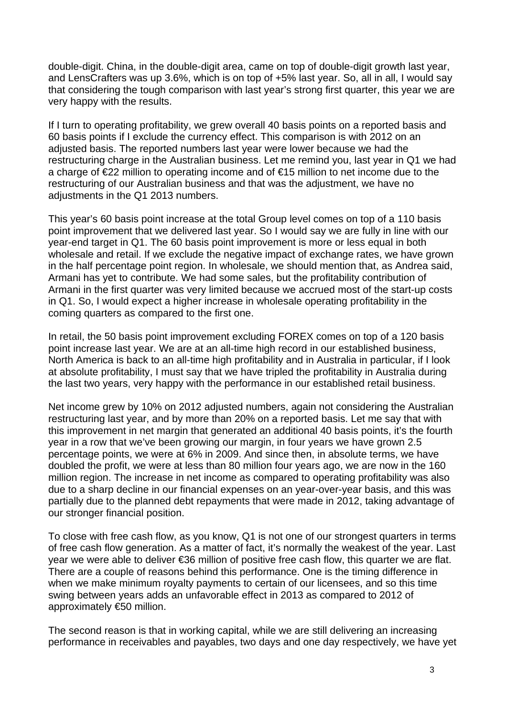double-digit. China, in the double-digit area, came on top of double-digit growth last year, and LensCrafters was up 3.6%, which is on top of +5% last year. So, all in all, I would say that considering the tough comparison with last year's strong first quarter, this year we are very happy with the results.

If I turn to operating profitability, we grew overall 40 basis points on a reported basis and 60 basis points if I exclude the currency effect. This comparison is with 2012 on an adjusted basis. The reported numbers last year were lower because we had the restructuring charge in the Australian business. Let me remind you, last year in Q1 we had a charge of €22 million to operating income and of €15 million to net income due to the restructuring of our Australian business and that was the adjustment, we have no adiustments in the Q1 2013 numbers.

This year's 60 basis point increase at the total Group level comes on top of a 110 basis point improvement that we delivered last year. So I would say we are fully in line with our year-end target in Q1. The 60 basis point improvement is more or less equal in both wholesale and retail. If we exclude the negative impact of exchange rates, we have grown in the half percentage point region. In wholesale, we should mention that, as Andrea said, Armani has yet to contribute. We had some sales, but the profitability contribution of Armani in the first quarter was very limited because we accrued most of the start-up costs in Q1. So, I would expect a higher increase in wholesale operating profitability in the coming quarters as compared to the first one.

In retail, the 50 basis point improvement excluding FOREX comes on top of a 120 basis point increase last year. We are at an all-time high record in our established business, North America is back to an all-time high profitability and in Australia in particular, if I look at absolute profitability, I must say that we have tripled the profitability in Australia during the last two years, very happy with the performance in our established retail business.

Net income grew by 10% on 2012 adjusted numbers, again not considering the Australian restructuring last year, and by more than 20% on a reported basis. Let me say that with this improvement in net margin that generated an additional 40 basis points, it's the fourth year in a row that we've been growing our margin, in four years we have grown 2.5 percentage points, we were at 6% in 2009. And since then, in absolute terms, we have doubled the profit, we were at less than 80 million four years ago, we are now in the 160 million region. The increase in net income as compared to operating profitability was also due to a sharp decline in our financial expenses on an year-over-year basis, and this was partially due to the planned debt repayments that were made in 2012, taking advantage of our stronger financial position.

To close with free cash flow, as you know, Q1 is not one of our strongest quarters in terms of free cash flow generation. As a matter of fact, it's normally the weakest of the year. Last year we were able to deliver €36 million of positive free cash flow, this quarter we are flat. There are a couple of reasons behind this performance. One is the timing difference in when we make minimum royalty payments to certain of our licensees, and so this time swing between years adds an unfavorable effect in 2013 as compared to 2012 of approximately €50 million.

The second reason is that in working capital, while we are still delivering an increasing performance in receivables and payables, two days and one day respectively, we have yet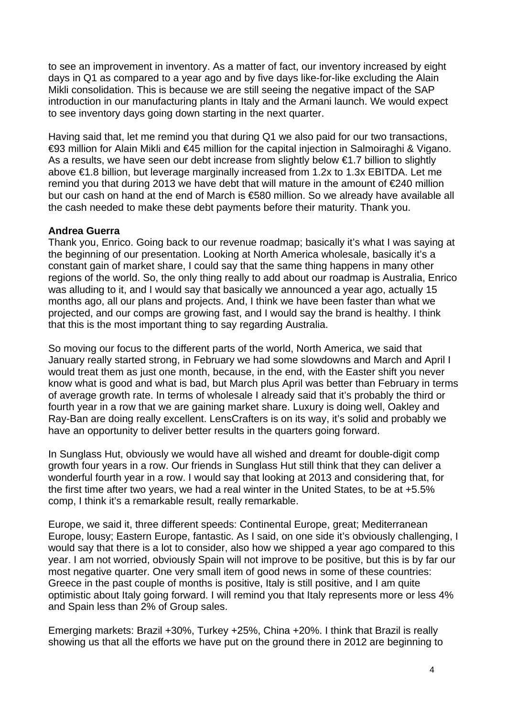to see an improvement in inventory. As a matter of fact, our inventory increased by eight days in Q1 as compared to a year ago and by five days like-for-like excluding the Alain Mikli consolidation. This is because we are still seeing the negative impact of the SAP introduction in our manufacturing plants in Italy and the Armani launch. We would expect to see inventory days going down starting in the next quarter.

Having said that, let me remind you that during Q1 we also paid for our two transactions, €93 million for Alain Mikli and €45 million for the capital injection in Salmoiraghi & Vigano. As a results, we have seen our debt increase from slightly below €1.7 billion to slightly above €1.8 billion, but leverage marginally increased from 1.2x to 1.3x EBITDA. Let me remind you that during 2013 we have debt that will mature in the amount of €240 million but our cash on hand at the end of March is €580 million. So we already have available all the cash needed to make these debt payments before their maturity. Thank you.

# **Andrea Guerra**

Thank you, Enrico. Going back to our revenue roadmap; basically it's what I was saying at the beginning of our presentation. Looking at North America wholesale, basically it's a constant gain of market share, I could say that the same thing happens in many other regions of the world. So, the only thing really to add about our roadmap is Australia, Enrico was alluding to it, and I would say that basically we announced a year ago, actually 15 months ago, all our plans and projects. And, I think we have been faster than what we projected, and our comps are growing fast, and I would say the brand is healthy. I think that this is the most important thing to say regarding Australia.

So moving our focus to the different parts of the world, North America, we said that January really started strong, in February we had some slowdowns and March and April I would treat them as just one month, because, in the end, with the Easter shift you never know what is good and what is bad, but March plus April was better than February in terms of average growth rate. In terms of wholesale I already said that it's probably the third or fourth year in a row that we are gaining market share. Luxury is doing well, Oakley and Ray-Ban are doing really excellent. LensCrafters is on its way, it's solid and probably we have an opportunity to deliver better results in the quarters going forward.

In Sunglass Hut, obviously we would have all wished and dreamt for double-digit comp growth four years in a row. Our friends in Sunglass Hut still think that they can deliver a wonderful fourth year in a row. I would say that looking at 2013 and considering that, for the first time after two years, we had a real winter in the United States, to be at +5.5% comp, I think it's a remarkable result, really remarkable.

Europe, we said it, three different speeds: Continental Europe, great; Mediterranean Europe, lousy; Eastern Europe, fantastic. As I said, on one side it's obviously challenging, I would say that there is a lot to consider, also how we shipped a year ago compared to this year. I am not worried, obviously Spain will not improve to be positive, but this is by far our most negative quarter. One very small item of good news in some of these countries: Greece in the past couple of months is positive, Italy is still positive, and I am quite optimistic about Italy going forward. I will remind you that Italy represents more or less 4% and Spain less than 2% of Group sales.

Emerging markets: Brazil +30%, Turkey +25%, China +20%. I think that Brazil is really showing us that all the efforts we have put on the ground there in 2012 are beginning to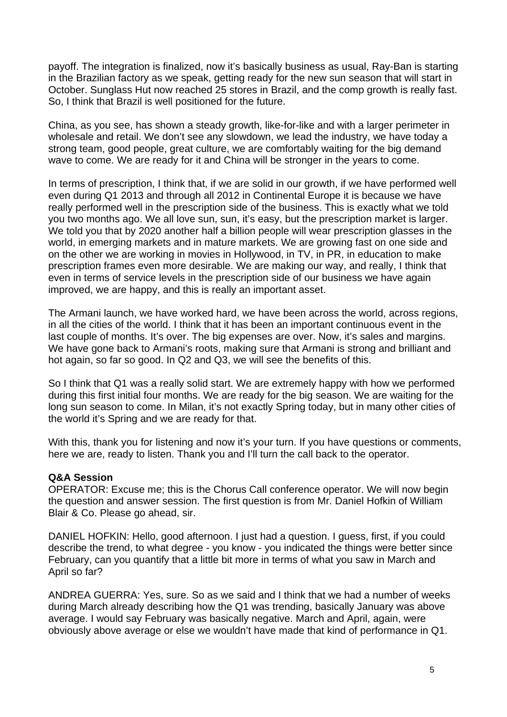payoff. The integration is finalized, now it's basically business as usual, Ray-Ban is starting in the Brazilian factory as we speak, getting ready for the new sun season that will start in October. Sunglass Hut now reached 25 stores in Brazil, and the comp growth is really fast. So, I think that Brazil is well positioned for the future.

China, as you see, has shown a steady growth, like-for-like and with a larger perimeter in wholesale and retail. We don't see any slowdown, we lead the industry, we have today a strong team, good people, great culture, we are comfortably waiting for the big demand wave to come. We are ready for it and China will be stronger in the years to come.

In terms of prescription, I think that, if we are solid in our growth, if we have performed well even during Q1 2013 and through all 2012 in Continental Europe it is because we have really performed well in the prescription side of the business. This is exactly what we told you two months ago. We all love sun, sun, it's easy, but the prescription market is larger. We told you that by 2020 another half a billion people will wear prescription glasses in the world, in emerging markets and in mature markets. We are growing fast on one side and on the other we are working in movies in Hollywood, in TV, in PR, in education to make prescription frames even more desirable. We are making our way, and really, I think that even in terms of service levels in the prescription side of our business we have again improved, we are happy, and this is really an important asset.

The Armani launch, we have worked hard, we have been across the world, across regions, in all the cities of the world. I think that it has been an important continuous event in the last couple of months. It's over. The big expenses are over. Now, it's sales and margins. We have gone back to Armani's roots, making sure that Armani is strong and brilliant and hot again, so far so good. In Q2 and Q3, we will see the benefits of this.

So I think that Q1 was a really solid start. We are extremely happy with how we performed during this first initial four months. We are ready for the big season. We are waiting for the long sun season to come. In Milan, it's not exactly Spring today, but in many other cities of the world it's Spring and we are ready for that.

With this, thank you for listening and now it's your turn. If you have questions or comments, here we are, ready to listen. Thank you and I'll turn the call back to the operator.

## **Q&A Session**

OPERATOR: Excuse me; this is the Chorus Call conference operator. We will now begin the question and answer session. The first question is from Mr. Daniel Hofkin of William Blair & Co. Please go ahead, sir.

DANIEL HOFKIN: Hello, good afternoon. I just had a question. I guess, first, if you could describe the trend, to what degree - you know - you indicated the things were better since February, can you quantify that a little bit more in terms of what you saw in March and April so far?

ANDREA GUERRA: Yes, sure. So as we said and I think that we had a number of weeks during March already describing how the Q1 was trending, basically January was above average. I would say February was basically negative. March and April, again, were obviously above average or else we wouldn't have made that kind of performance in Q1.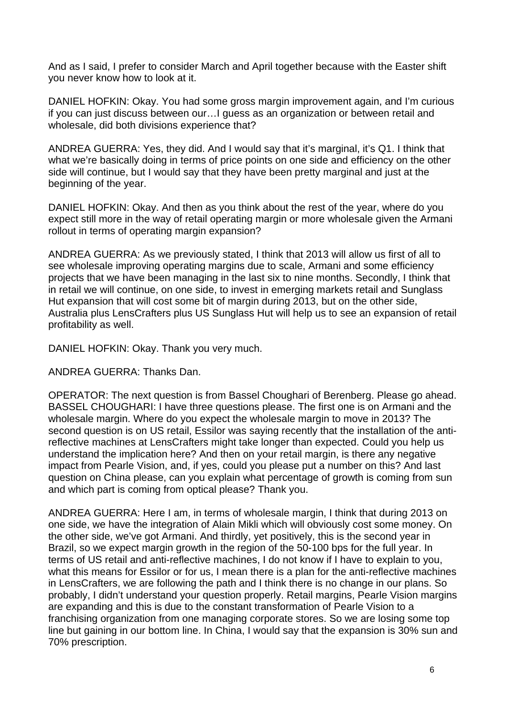And as I said, I prefer to consider March and April together because with the Easter shift you never know how to look at it.

DANIEL HOFKIN: Okay. You had some gross margin improvement again, and I'm curious if you can just discuss between our…I guess as an organization or between retail and wholesale, did both divisions experience that?

ANDREA GUERRA: Yes, they did. And I would say that it's marginal, it's Q1. I think that what we're basically doing in terms of price points on one side and efficiency on the other side will continue, but I would say that they have been pretty marginal and just at the beginning of the year.

DANIEL HOFKIN: Okay. And then as you think about the rest of the year, where do you expect still more in the way of retail operating margin or more wholesale given the Armani rollout in terms of operating margin expansion?

ANDREA GUERRA: As we previously stated, I think that 2013 will allow us first of all to see wholesale improving operating margins due to scale, Armani and some efficiency projects that we have been managing in the last six to nine months. Secondly, I think that in retail we will continue, on one side, to invest in emerging markets retail and Sunglass Hut expansion that will cost some bit of margin during 2013, but on the other side, Australia plus LensCrafters plus US Sunglass Hut will help us to see an expansion of retail profitability as well.

DANIEL HOFKIN: Okay. Thank you very much.

ANDREA GUERRA: Thanks Dan.

OPERATOR: The next question is from Bassel Choughari of Berenberg. Please go ahead. BASSEL CHOUGHARI: I have three questions please. The first one is on Armani and the wholesale margin. Where do you expect the wholesale margin to move in 2013? The second question is on US retail, Essilor was saying recently that the installation of the antireflective machines at LensCrafters might take longer than expected. Could you help us understand the implication here? And then on your retail margin, is there any negative impact from Pearle Vision, and, if yes, could you please put a number on this? And last question on China please, can you explain what percentage of growth is coming from sun and which part is coming from optical please? Thank you.

ANDREA GUERRA: Here I am, in terms of wholesale margin, I think that during 2013 on one side, we have the integration of Alain Mikli which will obviously cost some money. On the other side, we've got Armani. And thirdly, yet positively, this is the second year in Brazil, so we expect margin growth in the region of the 50-100 bps for the full year. In terms of US retail and anti-reflective machines, I do not know if I have to explain to you, what this means for Essilor or for us, I mean there is a plan for the anti-reflective machines in LensCrafters, we are following the path and I think there is no change in our plans. So probably, I didn't understand your question properly. Retail margins, Pearle Vision margins are expanding and this is due to the constant transformation of Pearle Vision to a franchising organization from one managing corporate stores. So we are losing some top line but gaining in our bottom line. In China, I would say that the expansion is 30% sun and 70% prescription.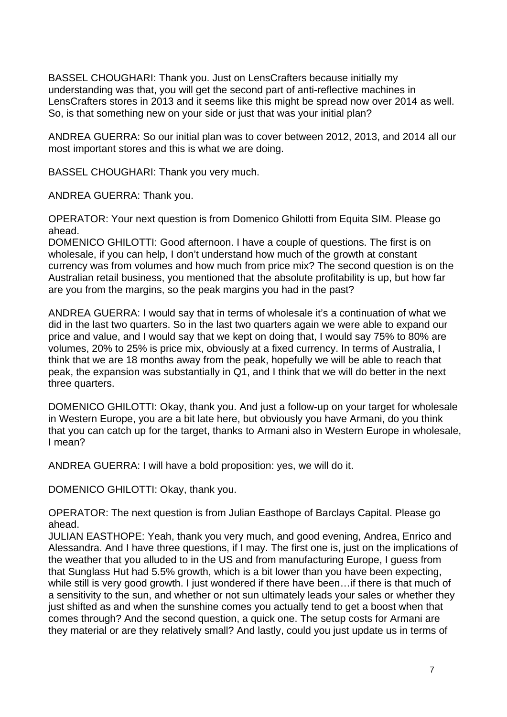BASSEL CHOUGHARI: Thank you. Just on LensCrafters because initially my understanding was that, you will get the second part of anti-reflective machines in LensCrafters stores in 2013 and it seems like this might be spread now over 2014 as well. So, is that something new on your side or just that was your initial plan?

ANDREA GUERRA: So our initial plan was to cover between 2012, 2013, and 2014 all our most important stores and this is what we are doing.

BASSEL CHOUGHARI: Thank you very much.

ANDREA GUERRA: Thank you.

OPERATOR: Your next question is from Domenico Ghilotti from Equita SIM. Please go ahead.

DOMENICO GHILOTTI: Good afternoon. I have a couple of questions. The first is on wholesale, if you can help, I don't understand how much of the growth at constant currency was from volumes and how much from price mix? The second question is on the Australian retail business, you mentioned that the absolute profitability is up, but how far are you from the margins, so the peak margins you had in the past?

ANDREA GUERRA: I would say that in terms of wholesale it's a continuation of what we did in the last two quarters. So in the last two quarters again we were able to expand our price and value, and I would say that we kept on doing that, I would say 75% to 80% are volumes, 20% to 25% is price mix, obviously at a fixed currency. In terms of Australia, I think that we are 18 months away from the peak, hopefully we will be able to reach that peak, the expansion was substantially in Q1, and I think that we will do better in the next three quarters.

DOMENICO GHILOTTI: Okay, thank you. And just a follow-up on your target for wholesale in Western Europe, you are a bit late here, but obviously you have Armani, do you think that you can catch up for the target, thanks to Armani also in Western Europe in wholesale, I mean?

ANDREA GUERRA: I will have a bold proposition: yes, we will do it.

DOMENICO GHILOTTI: Okay, thank you.

OPERATOR: The next question is from Julian Easthope of Barclays Capital. Please go ahead.

JULIAN EASTHOPE: Yeah, thank you very much, and good evening, Andrea, Enrico and Alessandra. And I have three questions, if I may. The first one is, just on the implications of the weather that you alluded to in the US and from manufacturing Europe, I guess from that Sunglass Hut had 5.5% growth, which is a bit lower than you have been expecting, while still is very good growth. I just wondered if there have been…if there is that much of a sensitivity to the sun, and whether or not sun ultimately leads your sales or whether they just shifted as and when the sunshine comes you actually tend to get a boost when that comes through? And the second question, a quick one. The setup costs for Armani are they material or are they relatively small? And lastly, could you just update us in terms of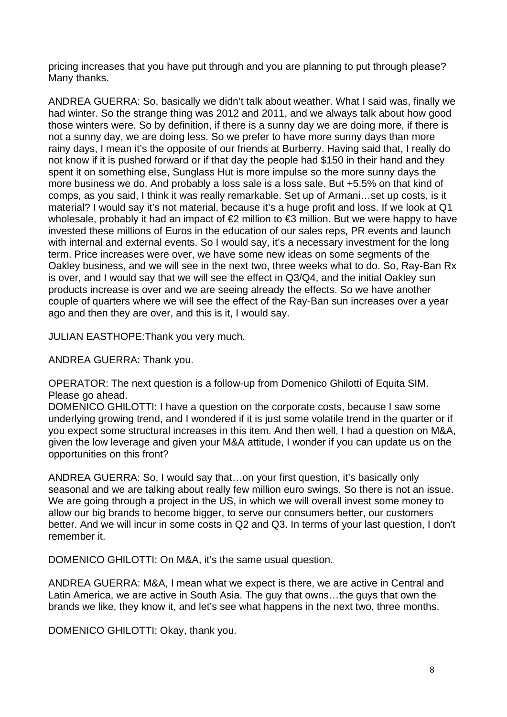pricing increases that you have put through and you are planning to put through please? Many thanks.

ANDREA GUERRA: So, basically we didn't talk about weather. What I said was, finally we had winter. So the strange thing was 2012 and 2011, and we always talk about how good those winters were. So by definition, if there is a sunny day we are doing more, if there is not a sunny day, we are doing less. So we prefer to have more sunny days than more rainy days, I mean it's the opposite of our friends at Burberry. Having said that, I really do not know if it is pushed forward or if that day the people had \$150 in their hand and they spent it on something else, Sunglass Hut is more impulse so the more sunny days the more business we do. And probably a loss sale is a loss sale. But +5.5% on that kind of comps, as you said, I think it was really remarkable. Set up of Armani…set up costs, is it material? I would say it's not material, because it's a huge profit and loss. If we look at Q1 wholesale, probably it had an impact of €2 million to €3 million. But we were happy to have invested these millions of Euros in the education of our sales reps, PR events and launch with internal and external events. So I would say, it's a necessary investment for the long term. Price increases were over, we have some new ideas on some segments of the Oakley business, and we will see in the next two, three weeks what to do. So, Ray-Ban Rx is over, and I would say that we will see the effect in Q3/Q4, and the initial Oakley sun products increase is over and we are seeing already the effects. So we have another couple of quarters where we will see the effect of the Ray-Ban sun increases over a year ago and then they are over, and this is it, I would say.

JULIAN EASTHOPE: Thank you very much.

ANDREA GUERRA: Thank you.

OPERATOR: The next question is a follow-up from Domenico Ghilotti of Equita SIM. Please go ahead.

DOMENICO GHILOTTI: I have a question on the corporate costs, because I saw some underlying growing trend, and I wondered if it is just some volatile trend in the quarter or if you expect some structural increases in this item. And then well, I had a question on M&A, given the low leverage and given your M&A attitude, I wonder if you can update us on the opportunities on this front?

ANDREA GUERRA: So, I would say that…on your first question, it's basically only seasonal and we are talking about really few million euro swings. So there is not an issue. We are going through a project in the US, in which we will overall invest some money to allow our big brands to become bigger, to serve our consumers better, our customers better. And we will incur in some costs in Q2 and Q3. In terms of your last question, I don't remember it.

DOMENICO GHILOTTI: On M&A, it's the same usual question.

ANDREA GUERRA: M&A, I mean what we expect is there, we are active in Central and Latin America, we are active in South Asia. The guy that owns…the guys that own the brands we like, they know it, and let's see what happens in the next two, three months.

DOMENICO GHILOTTI: Okay, thank you.